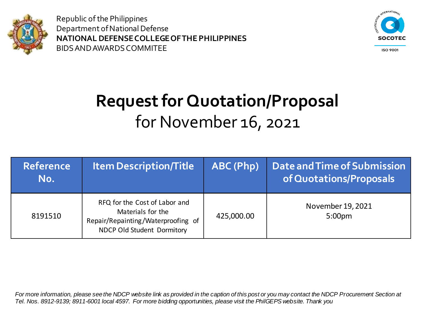



**ISO 9001** 

# **Request for Quotation/Proposal** for November 16, 2021

| <b>Reference</b><br>No. | <b>Item Description/Title</b>                                                                                          | ABC (Php)  | Date and Time of Submission<br>of Quotations/Proposals |
|-------------------------|------------------------------------------------------------------------------------------------------------------------|------------|--------------------------------------------------------|
| 8191510                 | RFQ for the Cost of Labor and<br>Materials for the<br>Repair/Repainting/Waterproofing of<br>NDCP Old Student Dormitory | 425,000.00 | November 19, 2021<br>5:00 <sub>pm</sub>                |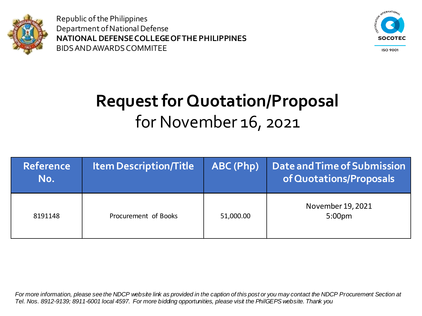



**ISO 9001** 

# **Request for Quotation/Proposal** for November 16, 2021

| <b>Reference</b><br>No. | <b>Item Description/Title</b> | ABC (Php) | Date and Time of Submission<br>of Quotations/Proposals |
|-------------------------|-------------------------------|-----------|--------------------------------------------------------|
| 8191148                 | Procurement of Books          | 51,000.00 | November 19, 2021<br>5:00 <sub>pm</sub>                |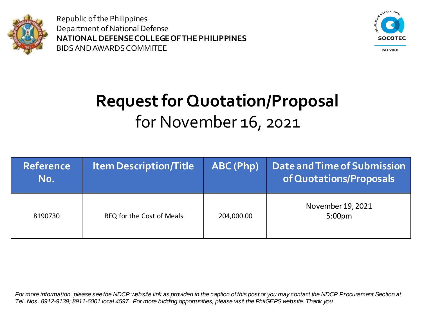



**ISO 9001** 

# **Request for Quotation/Proposal** for November 16, 2021

| <b>Reference</b><br>No. | <b>Item Description/Title</b> | ABC (Php)  | Date and Time of Submission<br>of Quotations/Proposals |
|-------------------------|-------------------------------|------------|--------------------------------------------------------|
| 8190730                 | RFQ for the Cost of Meals     | 204,000.00 | November 19, 2021<br>5:00 <sub>pm</sub>                |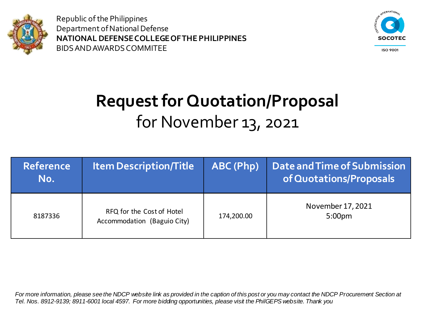



**ISO 9001** 

# **Request for Quotation/Proposal** for November 13, 2021

| <b>Reference</b><br>No. | <b>Item Description/Title</b>                            | ABC (Php)  | Date and Time of Submission<br>of Quotations/Proposals |
|-------------------------|----------------------------------------------------------|------------|--------------------------------------------------------|
| 8187336                 | RFQ for the Cost of Hotel<br>Accommodation (Baguio City) | 174,200.00 | November 17, 2021<br>5:00 <sub>pm</sub>                |